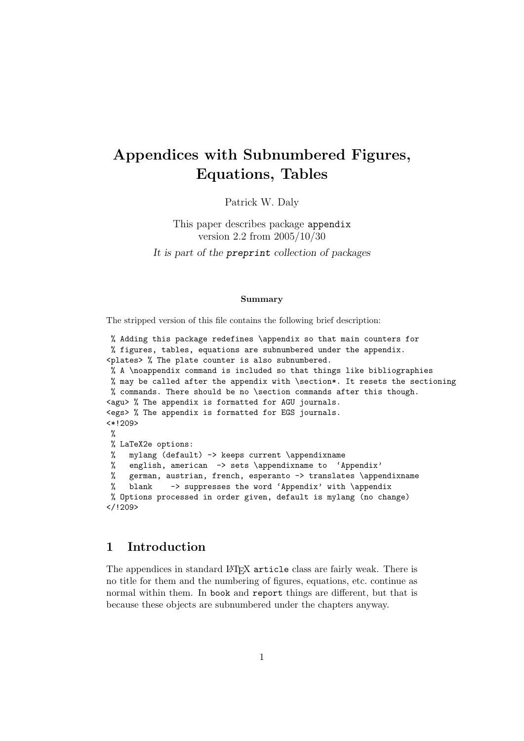# Appendices with Subnumbered Figures, Equations, Tables

Patrick W. Daly

This paper describes package appendix version 2.2 from 2005/10/30 It is part of the preprint collection of packages

#### Summary

The stripped version of this file contains the following brief description:

```
% Adding this package redefines \appendix so that main counters for
% figures, tables, equations are subnumbered under the appendix.
<plates> % The plate counter is also subnumbered.
% A \noappendix command is included so that things like bibliographies
% may be called after the appendix with \section*. It resets the sectioning
% commands. There should be no \section commands after this though.
<agu> % The appendix is formatted for AGU journals.
<egs> % The appendix is formatted for EGS journals.
<*!209>
\gamma% LaTeX2e options:
% mylang (default) -> keeps current \appendixname
% english, american -> sets \appendixname to 'Appendix'
% german, austrian, french, esperanto -> translates \appendixname
% blank -> suppresses the word 'Appendix' with \appendix
% Options processed in order given, default is mylang (no change)
</!209>
```
## 1 Introduction

The appendices in standard LAT<sub>EX</sub> article class are fairly weak. There is no title for them and the numbering of figures, equations, etc. continue as normal within them. In book and report things are different, but that is because these objects are subnumbered under the chapters anyway.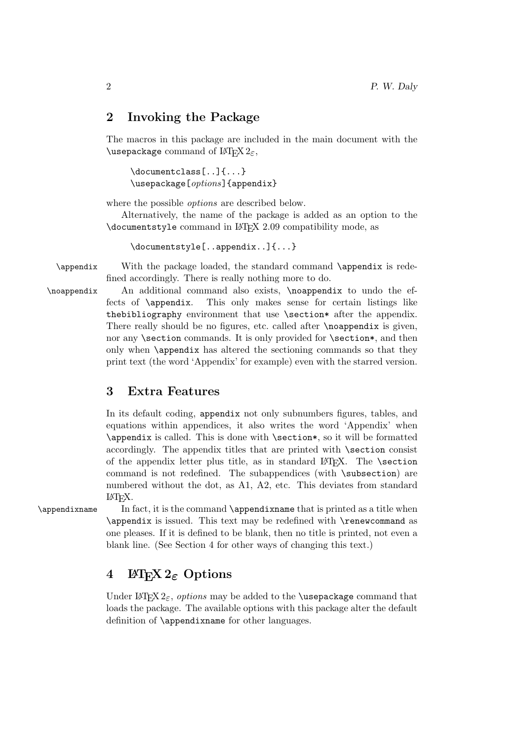### 2 Invoking the Package

The macros in this package are included in the main document with the \usepackage command of  $\operatorname{MTFX2}_{\epsilon}$ ,

\documentclass[..]{...} \usepackage[options]{appendix}

where the possible options are described below.

Alternatively, the name of the package is added as an option to the \documentstyle command in LATEX 2.09 compatibility mode, as

\documentstyle[..appendix..]{...}

\appendix With the package loaded, the standard command \appendix is redefined accordingly. There is really nothing more to do.

\noappendix An additional command also exists, \noappendix to undo the effects of \appendix. This only makes sense for certain listings like thebibliography environment that use \section\* after the appendix. There really should be no figures, etc. called after **\noappendix** is given, nor any \section commands. It is only provided for \section\*, and then only when \appendix has altered the sectioning commands so that they print text (the word 'Appendix' for example) even with the starred version.

# 3 Extra Features

In its default coding, appendix not only subnumbers figures, tables, and equations within appendices, it also writes the word 'Appendix' when \appendix is called. This is done with \section\*, so it will be formatted accordingly. The appendix titles that are printed with \section consist of the appendix letter plus title, as in standard  $\angle$ FFX. The \section command is not redefined. The subappendices (with \subsection) are numbered without the dot, as A1, A2, etc. This deviates from standard LATEX.

\appendixname In fact, it is the command \appendixname that is printed as a title when \appendix is issued. This text may be redefined with \renewcommand as one pleases. If it is defined to be blank, then no title is printed, not even a blank line. (See Section 4 for other ways of changing this text.)

# 4  $\text{ETr} X 2_{\epsilon}$  Options

Under  $\text{H}\x2_{\epsilon}$ , options may be added to the **\usepackage** command that loads the package. The available options with this package alter the default definition of \appendixname for other languages.